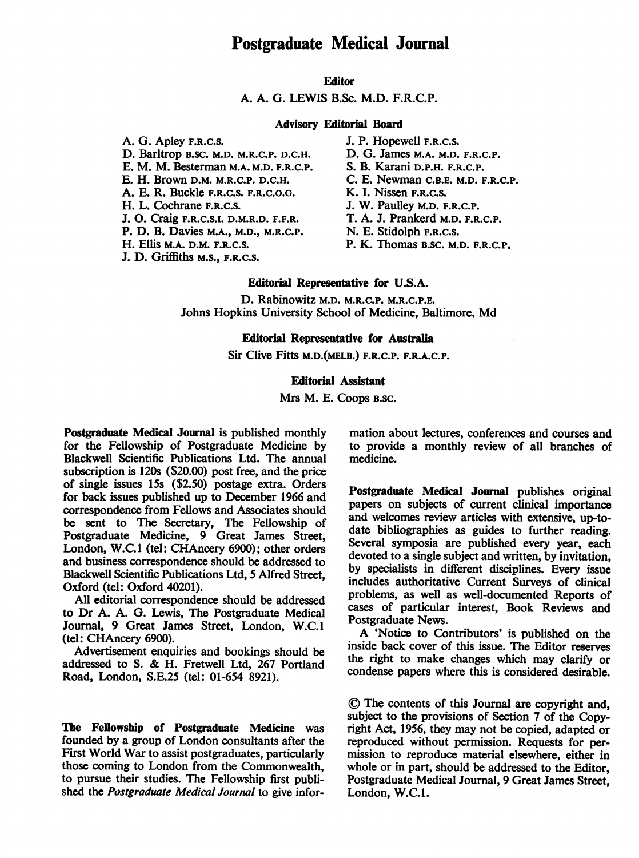# Postgraduate Medical Journal

## **Editor**

A. A. G. LEWIS B.Sc. M.D. F.R.C.P.

## Advisory Editorial Board

A. G. Apley F.R.C.S. D. Baritrop B.SC. M.D. M.R.C.P. D.C.H. E. M. M. Besterman M.A. M.D. F.R.C.P. E. H. Brown D.M. M.R.C.P. D.C.H. A. E. R. Buckle F.R.C.S. F.R.C.O.G. H. L. Cochrane F.R.C.S. J. 0. Craig F.R.C.S.I. D.M.R.D. F.F.R. P. D. B. Davies M.A., M.D., M.R.C.P. H. Ellis M.A. D.M. F.R.C.S.

J. D. Griffiths M.S., F.R.C.S.

J. P. Hopewell F.R.C.S. D. G. James M.A. M.D. F.R.C.P. S. B. Karani D.P.H. F.R.C.P. C. E. Newman C.B.E. M.D. F.R.C.P. K. I. Nissen F.R.C.S. J. W. Paulley M.D. F.R.C.P. T. A. J. Prankerd M.D. F.R.C.P. N. E. Stidolph F.R.C.S. P. K. Thomas B.SC. M.D. F.R.C.P.

## Editorial Representative for U.S.A.

D. Rabinowitz M.D. M.R.C.P. M.R.C.P.E. Johns Hopkins University School of Medicine, Baltimore, Md

## Editorial Representative for Australia

Sir Clive Fitts M.D.(MELB.) F.R.C.P. F.R.A.C.P.

### Editorial Assistant

Mrs M. E. Coops B.SC.

Postgraduate Medical Journal is published monthly for the Fellowship of Postgraduate Medicine by Blackwell Scientific Publications Ltd. The annual subscription is 120s (\$20.00) post free, and the price of single issues 15s (\$2.50) postage extra. Orders for back issues published up to December 1966 and correspondence from Fellows and Associates should be sent to The Secretary, The Fellowship of Postgraduate Medicine, 9 Great James Street, London, W.C.1 (tel: CHAncery 6900); other orders and business correspondence should be addressed to Blackwell Scientific Publications Ltd, 5 Alfred Street, Oxford (tel: Oxford 40201).

All editorial correspondence should be addressed to Dr A. A. G. Lewis, The Postgraduate Medical Journal, 9 Great James Street, London, W.C.1 (tel: CHAncery 6900).

Advertisement enquiries and bookings should be addressed to S. & H. Fretwell Ltd, <sup>267</sup> Portland Road, London, S.E.25 (tel: 01-654 8921).

The Fellowship of Postgraduate Medicine was founded by a group of London consultants after the First World War to assist postgraduates, particularly those coming to London from the Commonwealth, to pursue their studies. The Fellowship first published the Postgraduate Medical Journal to give information about lectures, conferences and courses and to provide a monthly review of all branches of medicine.

Postgraduate Medical Journal publishes original papers on subjects of current clinical importance and welcomes review articles with extensive, up-todate bibliographies as guides to further reading. Several symposia are published every year, each devoted to a single subject and written, by invitation, by specialists in different disciplines. Every issue includes authoritative Current Surveys of clinical problems, as well as well-documented Reports of cases of particular interest, Book Reviews and Postgraduate News.

A 'Notice to Contributors' is published on the inside back cover of this issue. The Editor reserves the right to make changes which may clarify or condense papers where this is considered desirable.

( The contents of this Journal are copyright and, subject to the provisions of Section 7 of the Copyright Act, 1956, they may not be copied, adapted or reproduced without permission. Requests for permission to reproduce material elsewhere, either in whole or in part, should be addressed to the Editor, Postgraduate Medical Journal, 9 Great James Street, London, W.C.1.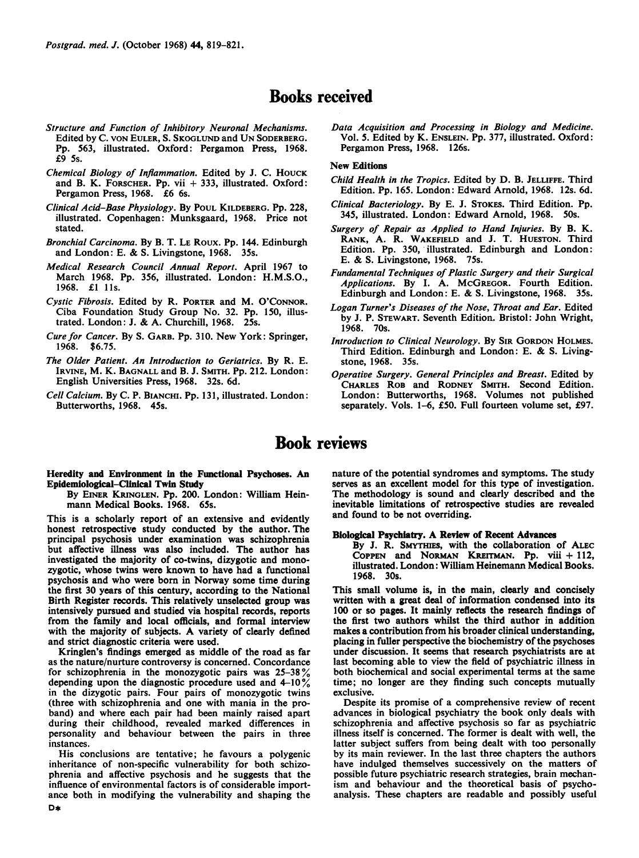Postgrad. med. J. (October 1968) 44, 819-821.

## Books received

- Structure and Function of Inhibitory Neuronal Mechanisms. Edited by C. VON EULER, S. SKOGLUND and UN SODERBERG. Pp. 563, illustrated. Oxford: Pergamon Press, 1968. £9 5s.
- Chemical Biology of Inflammation. Edited by J. C. HOUCK and B. K. FORSCHER. Pp.  $vi + 333$ , illustrated. Oxford: Pergamon Press, 1968. £6 6s.
- Clinical Acid-Base Physiology. By POUL KILDEBERG. Pp. 228, illustrated. Copenhagen: Munksgaard, 1968. Price not stated.
- Bronchial Carcinoma. By B. T. LE Roux. Pp. 144. Edinburgh and London: E. & S. Livingstone, 1968. 35s.
- Medical Research Council Annual Report. April 1967 to March 1968. Pp. 356, illustrated. London: H.M.S.O., 1968. £1 Ils.
- Cystic Fibrosis. Edited by R. PORTER and M. O'CONNOR. Ciba Foundation Study Group No. 32. Pp. 150, illustrated. London: J. & A. Churchill, 1968. 25s.
- Cure for Cancer. By S. GARB. Pp. 310. New York: Springer, 1968. \$6.75.
- The Older Patient. An Introduction to Geriatrics. By R. E. IRVINE, M. K. BAGNALL and B. J. SMITH. Pp. 212. London: English Universities Press, 1968. 32s. 6d.
- Cell Calcium. By C. P. BIANCHI. Pp. 131, illustrated. London: Butterworths, 1968. 45s.

Data Acquisition and Processing in Biology and Medicine. Vol. 5. Edited by K. ENSLEIN. Pp. 377, illustrated. Oxford: Pergamon Press, 1968. 126s.

#### New Editions

- Child Health in the Tropics. Edited by D. B. JELLIFFE. Third Edition. Pp. 165. London: Edward Arnold, 1968. 12s. 6d.
- Clinical Bacteriology. By E. J. STOKES. Third Edition. Pp. 345, illustrated. London: Edward Arnold, 1968. 50s.
- Surgery of Repair as Applied to Hand Injuries. By B. K. RANK, A. R. WAKEFIELD and J. T. HUESTON. Third Edition. Pp. 350, illustrated. Edinburgh and London: E. & S. Livingstone, 1968. 75s.
- Fundamental Techniques of Plastic Surgery and their Surgical Applications. By I. A. McGREGOR. Fourth Edition. Edinburgh and London: E. & S. Livingstone, 1968. 35s.
- Logan Turner's Diseases of the Nose, Throat and Ear. Edited by J. P. STEWART. Seventh Edition. Bristol: John Wright, 1968. 70s.
- Introduction to Clinical Neurology. By SIR GORDON HOLMES. Third Edition. Edinburgh and London: E. & S. Livingstone, 1968. 35s.
- Operative Surgery. General Principles and Breast. Edited by CHARLES ROB and RODNEY SMITH. Second Edition. London: Butterworths, 1968. Volumes not published separately. Vols. 1-6, £50. Full fourteen volume set, £97.

## Book reviews

- Heredity and Environment in the Functional Psychoses. An Epidemiological-Clinical Twin Study
	- By EINER KRINGLEN. Pp. 200. London: William Heinmann Medical Books. 1968. 65s.

This is a scholarly report of an extensive and evidently honest retrospective study conducted by the author. The principal psychosis under examination was schizophrenia but affective illness was also included. The author has investigated the majority of co-twins, dizygotic and monozygotic, whose twins were known to have had a functional psychosis and who were born in Norway some time during the first 30 years of this century, according to the National Birth Register records. This relatively unselected group was intensively pursued and studied via hospital records, reports from the family and local officials, and formal interview with the majority of subjects. A variety of clearly defined and strict diagnostic criteria were used.

Kringlen's findings emerged as middle of the road as far as the nature/nurture controversy is concerned. Concordance for schizophrenia in the monozygotic pairs was  $25-38\%$ depending upon the diagnostic procedure used and 4-10% in the dizygotic pairs. Four pairs of monozygotic twins (three with schizophrenia and one with mania in the proband) and where each pair had been mainly raised apart during their childhood, revealed marked differences in personality and behaviour between the pairs in three instances.

His conclusions are tentative; he favours a polygenic inheritance of non-specific vulnerability for both schizophrenia and affective psychosis and he suggests that the influence of environmental factors is of considerable importance both in modifying the vulnerability and shaping the

nature of the potential syndromes and symptoms. The study serves as an excellent model for this type of investigation. The methodology is sound and clearly described and the inevitable limitations of retrospective studies are revealed and found to be not overriding.

#### Biological Psychiatry. A Review of Recent Advances

By J. R. SMYTHIES, with the collaboration of ALEC COPPEN and NORMAN KREITMAN. Pp.  $viii + 112$ , illustrated. London: William Heinemann Medical Books. 1968. 30s.

This small volume is, in the main, clearly and concisely written with a great deal of information condensed into its 100 or so pages. It mainly reflects the research findings of the first two authors whilst the third author in addition makes a contribution from his broader clinical understanding, placing in fuller perspective the biochemistry of the psychoses under discussion. It seems that research psychiatrists are at last becoming able to view the field of psychiatric illness in both biochemical and social experimental terms at the same time; no longer are they finding such concepts mutually exclusive.

Despite its promise of a comprehensive review of recent advances in biological psychiatry the book only deals with schizophrenia and affective psychosis so far as psychiatric illness itself is concerned. The former is dealt with well, the latter subject suffers from being dealt with too personally by its main reviewer. In the last three chapters the authors have indulged themselves successively on the matters of possible future psychiatric research strategies, brain mechanism and behaviour and the theoretical basis of psychoanalysis. These chapters are readable and possibly useful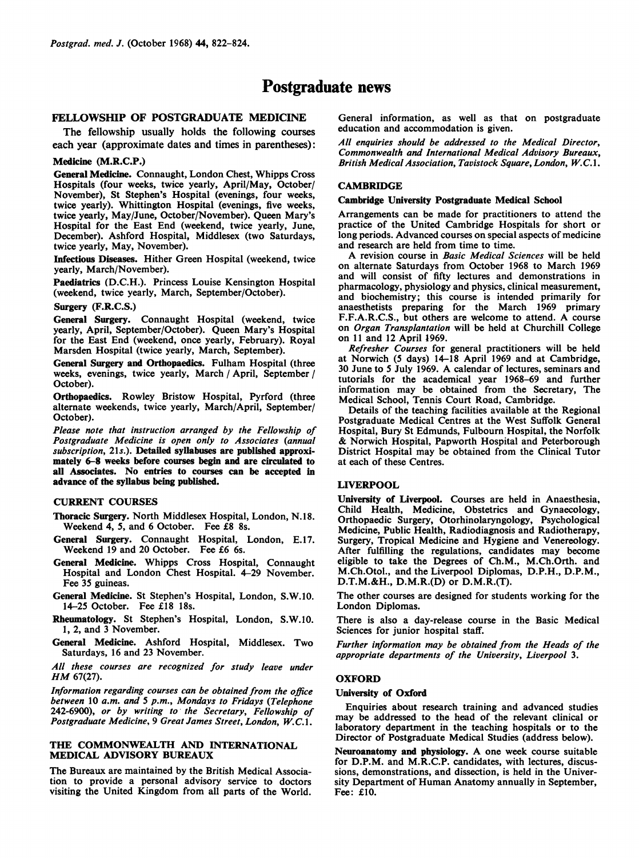# Postgraduate news

## FELLOWSHIP OF POSTGRADUATE MEDICINE

The fellowship usually holds the following courses each year (approximate dates and times in parentheses):

### Medicine (M.R.C.P.)

General Medicine. Connaught, London Chest, Whipps Cross Hospitals (four weeks, twice yearly, April/May, October/ November), St Stephen's Hospital (evenings, four weeks, twice yearly). Whittington Hospital (evenings, five weeks, twice yearly, May/June, October/November). Queen Mary's Hospital for the East End (weekend, twice yearly, June, December). Ashford Hospital, Middlesex (two Saturdays, twice yearly, May, November).

Infectious Diseases. Hither Green Hospital (weekend, twice yearly, March/November).

Paediatrics (D.C.H.). Princess Louise Kensington Hospital (weekend, twice yearly, March, September/October).

### Surgery (F.R.C.S.)

General Surgery. Connaught Hospital (weekend, twice yearly, April, September/October). Queen Mary's Hospital for the East End (weekend, once yearly, February). Royal Marsden Hospital (twice yearly, March, September).

General Surgery and Orthopaedics. Fulham Hospital (three weeks, evenings, twice yearly, March / April, September/ October).

Orthopaedics. Rowley Bristow Hospital, Pyrford (three alternate weekends, twice yearly, March/April, September/ October).

Please note that instruction arranged by the Fellowship of Postgraduate Medicine is open only to Associates (annual subscription, 21s.). Detailed syllabuses are published approximately 6-8 weeks before courses begin and are circulated to all Associates. No entries to courses can be accepted in advance of the syllabus being published.

## CURRENT COURSES

- Thoracic Surgery. North Middlesex Hospital, London, N.18. Weekend 4, 5, and 6 October. Fee £8 8s.
- General Surgery. Connaught Hospital, London, E.17. Weekend 19 and 20 October. Fee £6 6s.
- General Medicine. Whipps Cross Hospital, Connaught Hospital and London Chest Hospital. 4-29 November. Fee 35 guineas.
- General Medicine. St Stephen's Hospital, London, S.W.10. 14-25 October. Fee £18 18s.
- Rheumatology. St Stephen's Hospital, London, S.W.10. 1, 2, and 3 November.
- General Medicine. Ashford Hospital, Middlesex. Two Saturdays, 16 and 23 November.

All these courses are recognized for study leave under HM 67(27).

Information regarding courses can be obtained from the office between 10 a.m. and 5 p.m., Mondavs to Fridays (Telephone 242-6900), or by writing to the Secretary, Fellowship of Postgraduate Medicine, 9 Great James Street, London, W.C. 1.

#### THE COMMONWEALTH AND INTERNATIONAL MEDICAL ADVISORY BUREAUX

The Bureaux are maintained by the British Medical Association to provide a personal advisory service to doctors visiting the United Kingdom from all parts of the World. General information, as well as that on postgraduate education and accommodation is given.

All enquiries should be addressed to the Medical Director, Commonwealth and International Medical Advisory Bureaux, British Medical Association, Tavistock Square, London, W.C.1.

## CAMBRIDGE

### Cambridge University Postgraduate Medical School

Arrangements can be made for practitioners to attend the practice of the United Cambridge Hospitals for short or long periods. Advanced courses on special aspects of medicine and research are held from time to time.

A revision course in Basic Medical Sciences will be held on alternate Saturdays from October 1968 to March 1969 and will consist of fifty lectures and demonstrations in pharmacology, physiology and physics, clinical measurement, and biochemistry; this course is intended primarily for anaesthetists preparing for the March 1969 primary F.F.A.R.C.S., but others are welcome to attend. A course on Organ Transplantation will be held at Churchill College on 11 and 12 April 1969.

Refresher Courses for general practitioners will be held at Norwich (5 days) 14-18 April 1969 and at Cambridge, <sup>30</sup> June to <sup>5</sup> July 1969. A calendar of lectures, seminars and tutorials for the academical year 1968-69 and further information may be obtained from the Secretary, The Medical School, Tennis Court Road, Cambridge.

Details of the teaching facilities available at the Regional Postgraduate Medical Centres at the West Suffolk General Hospital, Bury St Edmunds, Fulbourn Hospital, the Norfolk & Norwich Hospital, Papworth Hospital and Peterborough District Hospital may be obtained from the Clinical Tutor at each of these Centres.

## LIVERPOOL

University of Liverpool. Courses are held in Anaesthesia, Child Health, Medicine, Obstetrics and Gynaecology, Orthopaedic Surgery, Otorhinolaryngology, Psychological Medicine, Public Health, Radiodiagnosis and Radiotherapy, Surgery, Tropical Medicine and Hygiene and Venereology. After fulfilling the regulations, candidates may become eligible to take the Degrees of Ch.M., M.Ch.Orth. and M.Ch.Otol., and the Liverpool Diplomas, D.P.H., D.P.M., D.T.M.&H., D.M.R.(D) or D.M.R.(T).

The other courses are designed for students working for the London Diplomas.

There is also a day-release course in the Basic Medical Sciences for junior hospital staff.

Further information may be obtained from the Heads of the appropriate departments of the University, Liverpool 3.

## **OXFORD**

#### University of Oxford

Enquiries about research training and advanced studies may be addressed to the head of the relevant clinical or laboratory department in the teaching hospitals or to the Director of Postgraduate Medical Studies (address below).

Neuroanatomy and physiology. A one week course suitable for D.P.M. and M.R.C.P. candidates, with lectures, discussions, demonstrations, and dissection, is held in the University Department of Human Anatomy annually in September, Fee: £10.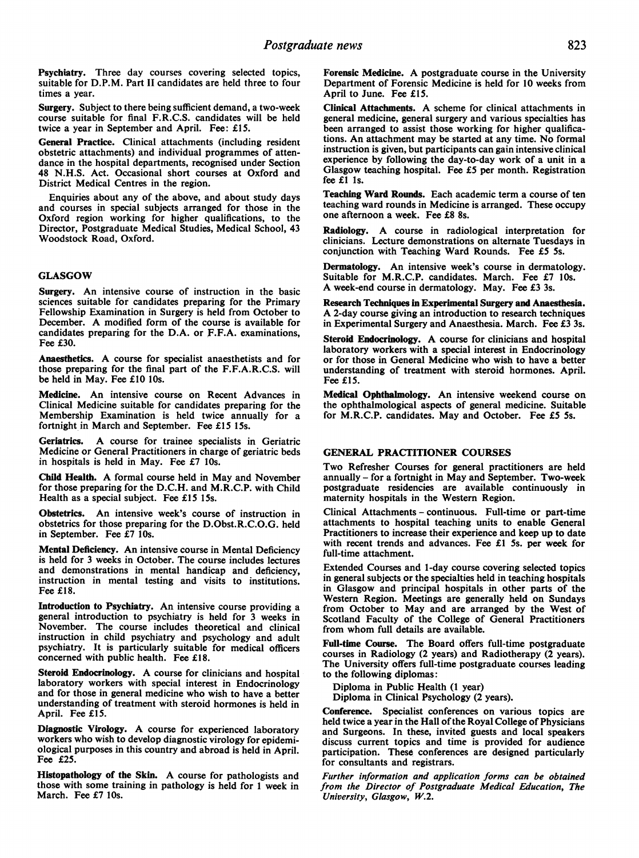Psychiatry. Three day courses covering selected topics, suitable for D.P.M. Part II candidates are held three to four times a year.

Surgery. Subject to there being sufficient demand, a two-week course suitable for final F.R.C.S. candidates will be held twice a year in September and April. Fee: £15.

General Practice. Clinical attachments (including resident obstetric attachments) and individual programmes of attendance in the hospital departments, recognised under Section 48 N.H.S. Act. Occasional short courses at Oxford and District Medical Centres in the region.

Enquiries about any of the above, and about study days and courses in special subjects arranged for those in the Oxford region working for higher qualifications, to the Director, Postgraduate Medical Studies, Medical School, 43 Woodstock Road, Oxford.

#### **GLASGOW**

Surgery. An intensive course of instruction in the basic sciences suitable for candidates preparing for the Primary Fellowship Examination in Surgery is held from October to December. A modified form of the course is available for candidates preparing for the D.A. or F.F.A. examinations, Fee £30.

Anaesthetics. A course for specialist anaesthetists and for those preparing for the final part of the F.F.A.R.C.S. will be held in May. Fee £10 10s.

Medicine. An intensive course on Recent Advances in Clinical Medicine suitable for candidates preparing for the Membership Examination is held twice annually for a fortnight in March and September. Fee £15 l5s.

Geriatrics. A course for trainee specialists in Geriatric Medicine or General Practitioners in charge of geriatric beds in hospitals is held in May. Fee £7 10s.

Child Health. A formal course held in May and November for those preparing for the D.C.H. and M.R.C.P. with Child Health as a special subject. Fee £15 15s.

Obstetrics. An intensive week's course of instruction in obstetrics for those preparing for the D.Obst.R.C.O.G. held in September. Fee £7 10s.

Mental Deficiency. An intensive course in Mental Deficiency is held for 3 weeks in October. The course includes lectures and demonstrations in mental handicap and deficiency, instruction in mental testing and visits to institutions. Fee £18.

Introduction to Psychiatry. An intensive course providing a general introduction to psychiatry is held for 3 weeks in November. The course includes theoretical and clinical instruction in child psychiatry and psychology and adult psychiatry. It is particularly suitable for medical officers concerned with public health. Fee £18.

Steroid Endocrinology. A course for clinicians and hospital laboratory workers with special interest in Endocrinology and for those in general medicine who wish to have a better understanding of treatment with steroid hormones is held in April. Fee £15.

Diagnostic Virology. A course for experienced laboratory workers who wish to develop diagnostic virology for epidemiological purposes in this country and abroad is held in April. Fee £25.

Histopathology of the Skin. A course for pathologists and those with some training in pathology is held for <sup>1</sup> week in March. Fee £7 10s.

Forensic Medicine. A postgraduate course in the University Department of Forensic Medicine is held for 10 weeks from April to June. Fee £15.

Clinical Attachments. A scheme for clinical attachments in general medicine, general surgery and various specialties has been arranged to assist those working for higher qualifications. An attachment may be started at any time. No formal instruction is given, but participants can gain intensive clinical experience by following the day-to-day work of a unit in a Glasgow teaching hospital. Fee £5 per month. Registration fee £1 ls.

Teaching Ward Rounds. Each academic term a course of ten teaching ward rounds in Medicine is arranged. These occupy one afternoon a week. Fee £8 8s.

Radiology. A course in radiological interpretation for clinicians. Lecture demonstrations on alternate Tuesdays in conjunction with Teaching Ward Rounds. Fee £5 5s.

Dermatology. An intensive week's course in dermatology. Suitable for M.R.C.P. candidates. March. Fee £7 10s. A week-end course in dermatology. May. Fee £3 3s.

Research Techniques in Experimental Surgery and Anaesthesia. A 2-day course giving an introduction to research techniques in Experimental Surgery and Anaesthesia. March. Fee £3 3s.

Steroid Endocrinology. A course for clinicians and hospital laboratory workers with a special interest in Endocrinology or for those in General Medicine who wish to have a better understanding of treatment with steroid hormones. April. Fee £15.

Medical Ophthalmology. An intensive weekend course on the ophthalmological aspects of general medicine. Suitable for M.R.C.P. candidates. May and October. Fee £5 5s.

#### GENERAL PRACTITIONER COURSES

Two Refresher Courses for general practitioners are held annually - for a fortnight in May and September. Two-week postgraduate residencies are available continuously in maternity hospitals in the Western Region.

Clinical Attachments - continuous. Full-time or part-time attachments to hospital teaching units to enable General Practitioners to increase their experience and keep up to date with recent trends and advances. Fee £1 5s. per week for full-time attachment.

Extended Courses and 1-day course covering selected topics in general subjects or the specialties held in teaching hospitals in Glasgow and principal hospitals in other parts of the Western Region. Meetings are generally held on Sundays from October to May and are arranged by the West of Scotland Faculty of the College of General Practitioners from whom full details are available.

Full-time Course. The Board offers full-time postgraduate courses in Radiology (2 years) and Radiotherapy (2 years). The University offers full-time postgraduate courses leading to the following diplomas:

Diploma in Public Health (1 year)

Diploma in Clinical Psychology (2 years).

Conference. Specialist conferences on various topics are held twice a year in the Hall of the Royal College of Physicians and Surgeons. In these, invited guests and local speakers discuss current topics and time is provided for audience participation. These conferences are designed particularly for consultants and registrars.

Further information and application forms can be obtained from the Director of Postgraduate Medical Education, The University, Glasgow, W.2.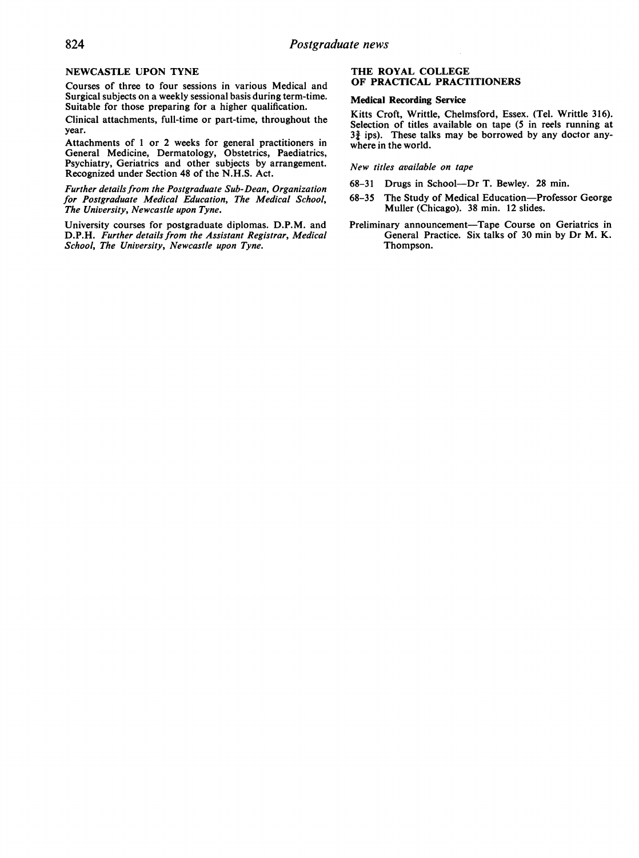#### NEWCASTLE UPON TYNE

Courses of three to four sessions in various Medical and Surgical subjects on a weekly sessional basis during term-time. Suitable for those preparing for a higher qualification.

Clinical attachments, full-time or part-time, throughout the year.

Attachments of <sup>1</sup> or 2 weeks for general practitioners in General Medicine, Dermatology, Obstetrics, Paediatrics, Psychiatry, Geriatrics and other subjects by arrangement. Recognized under Section 48 of the N.H.S. Act.

Further details from the Postgraduate Sub-Dean, Organization for Postgraduate Medical Education, The Medical School, The University, Newcastle upon Tyne.

University courses for postgraduate diplomas. D.P.M. and D.P.H. Further details from the Assistant Registrar, Medical School, The University, Newcastle upon Tyne.

#### THE ROYAL COLLEGE OF PRACTICAL PRACTITIONERS

#### Medical Recording Service

Kitts Croft, Writtle, Chelmsford, Essex. (Tel. Writtle 316). Selection of titles available on tape (5 in reels running at  $3\frac{3}{4}$  ips). These talks may be borrowed by any doctor anywhere in the world.

#### New titles available on tape

- 68-31 Drugs in School-Dr T. Bewley. 28 min.
- 68-35 The Study of Medical Education-Professor George Muller (Chicago). 38 min. 12 slides.
- Preliminary announcement-Tape Course on Geriatrics in General Practice. Six talks of 30 min by Dr M. K. Thompson.